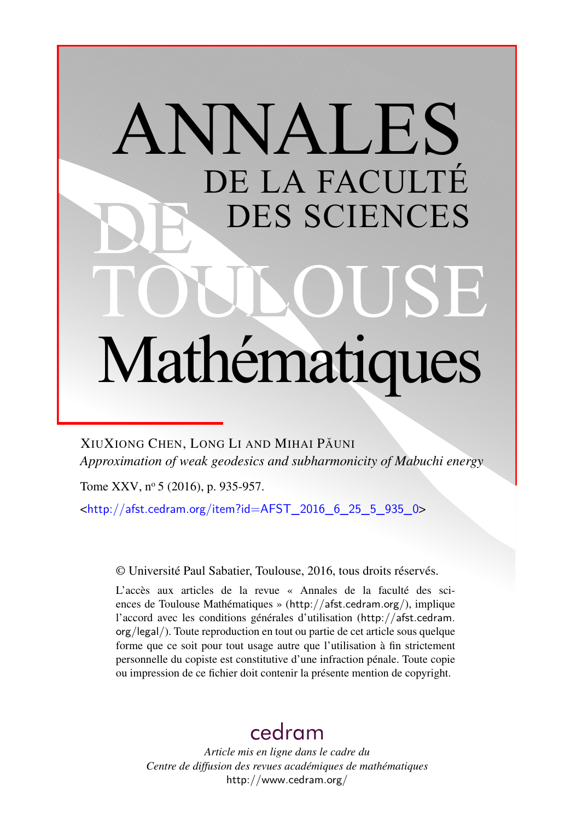# ANNALES DE LA FACULTÉ DES SCIENCES Mathématiques

XIUXIONG CHEN, LONG LI AND MIHAI PĂUNI *Approximation of weak geodesics and subharmonicity of Mabuchi energy*

Tome XXV, nº 5 (2016), p. 935-957.

<[http://afst.cedram.org/item?id=AFST\\_2016\\_6\\_25\\_5\\_935\\_0](http://afst.cedram.org/item?id=AFST_2016_6_25_5_935_0)>

© Université Paul Sabatier, Toulouse, 2016, tous droits réservés.

L'accès aux articles de la revue « Annales de la faculté des sciences de Toulouse Mathématiques » (<http://afst.cedram.org/>), implique l'accord avec les conditions générales d'utilisation ([http://afst.cedram.](http://afst.cedram.org/legal/) [org/legal/](http://afst.cedram.org/legal/)). Toute reproduction en tout ou partie de cet article sous quelque forme que ce soit pour tout usage autre que l'utilisation à fin strictement personnelle du copiste est constitutive d'une infraction pénale. Toute copie ou impression de ce fichier doit contenir la présente mention de copyright.

## [cedram](http://www.cedram.org/)

*Article mis en ligne dans le cadre du Centre de diffusion des revues académiques de mathématiques* <http://www.cedram.org/>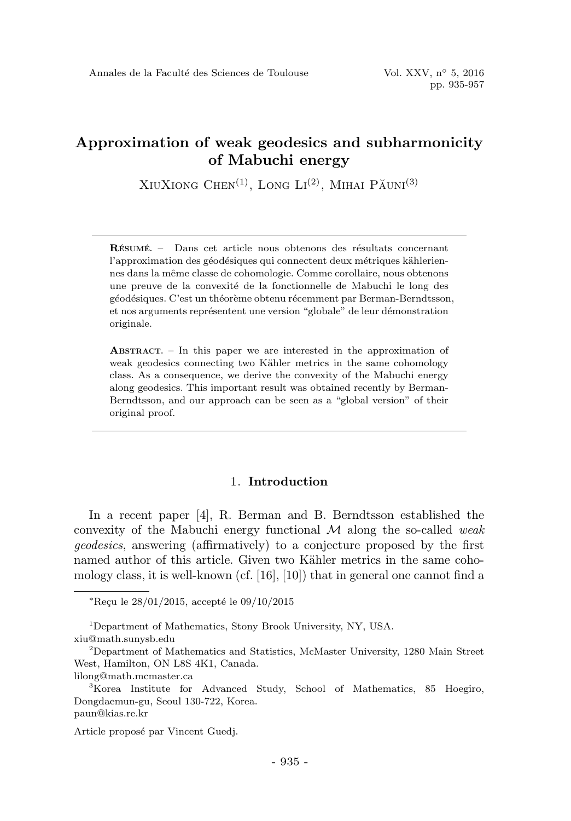XIUXIONG CHEN<sup>(1)</sup>, LONG  $Li^{(2)}$ , MIHAI PAUNI<sup>(3)</sup>

RÉSUMÉ. – Dans cet article nous obtenons des résultats concernant l'approximation des géodésiques qui connectent deux métriques kähleriennes dans la mˆeme classe de cohomologie. Comme corollaire, nous obtenons une preuve de la convexité de la fonctionnelle de Mabuchi le long des géodésiques. C'est un théorème obtenu récemment par Berman-Berndtsson, et nos arguments représentent une version "globale" de leur démonstration originale.

ABSTRACT. – In this paper we are interested in the approximation of weak geodesics connecting two Kähler metrics in the same cohomology class. As a consequence, we derive the convexity of the Mabuchi energy along geodesics. This important result was obtained recently by Berman-Berndtsson, and our approach can be seen as a "global version" of their original proof.

#### 1. Introduction

In a recent paper [4], R. Berman and B. Berndtsson established the convexity of the Mabuchi energy functional  $\mathcal M$  along the so-called weak geodesics, answering (affirmatively) to a conjecture proposed by the first named author of this article. Given two Kähler metrics in the same cohomology class, it is well-known (cf. [16], [10]) that in general one cannot find a

 $*Recu$  le  $28/01/2015$ , accepté le  $09/10/2015$ 

<sup>1</sup>Department of Mathematics, Stony Brook University, NY, USA. xiu@math.sunysb.edu

<sup>2</sup>Department of Mathematics and Statistics, McMaster University, 1280 Main Street West, Hamilton, ON L8S 4K1, Canada.

lilong@math.mcmaster.ca

<sup>3</sup>Korea Institute for Advanced Study, School of Mathematics, 85 Hoegiro, Dongdaemun-gu, Seoul 130-722, Korea. paun@kias.re.kr

Article proposé par Vincent Guedj.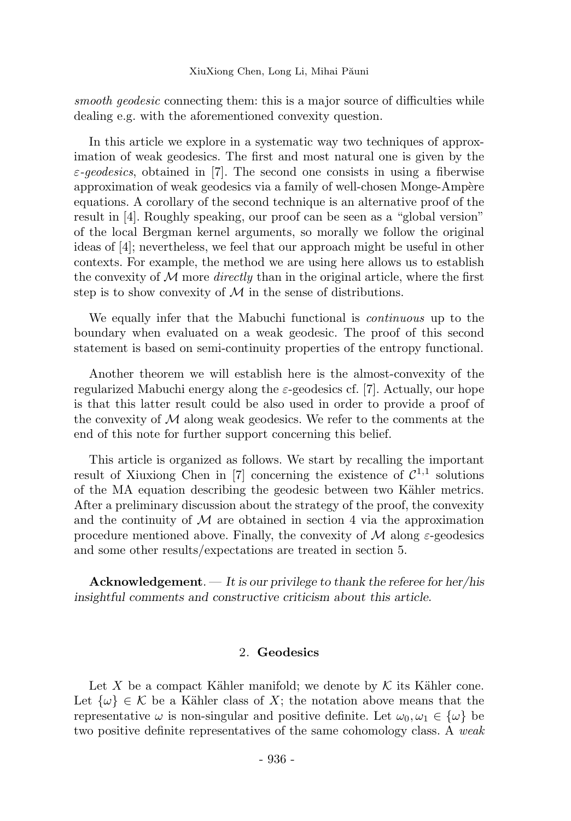smooth geodesic connecting them: this is a major source of difficulties while dealing e.g. with the aforementioned convexity question.

In this article we explore in a systematic way two techniques of approximation of weak geodesics. The first and most natural one is given by the  $\varepsilon$ -geodesics, obtained in [7]. The second one consists in using a fiberwise approximation of weak geodesics via a family of well-chosen Monge-Ampère equations. A corollary of the second technique is an alternative proof of the result in [4]. Roughly speaking, our proof can be seen as a "global version" of the local Bergman kernel arguments, so morally we follow the original ideas of [4]; nevertheless, we feel that our approach might be useful in other contexts. For example, the method we are using here allows us to establish the convexity of M more *directly* than in the original article, where the first step is to show convexity of  $M$  in the sense of distributions.

We equally infer that the Mabuchi functional is *continuous* up to the boundary when evaluated on a weak geodesic. The proof of this second statement is based on semi-continuity properties of the entropy functional.

Another theorem we will establish here is the almost-convexity of the regularized Mabuchi energy along the  $\varepsilon$ -geodesics cf. [7]. Actually, our hope is that this latter result could be also used in order to provide a proof of the convexity of  $\mathcal M$  along weak geodesics. We refer to the comments at the end of this note for further support concerning this belief.

This article is organized as follows. We start by recalling the important result of Xiuxiong Chen in [7] concerning the existence of  $\mathcal{C}^{1,1}$  solutions of the MA equation describing the geodesic between two Kähler metrics. After a preliminary discussion about the strategy of the proof, the convexity and the continuity of  $\mathcal M$  are obtained in section 4 via the approximation procedure mentioned above. Finally, the convexity of  $\mathcal M$  along  $\varepsilon$ -geodesics and some other results/expectations are treated in section 5.

**Acknowledgement.**  $-$  It is our privilege to thank the referee for her/his insightful comments and constructive criticism about this article.

#### 2. Geodesics

Let X be a compact Kähler manifold; we denote by  $K$  its Kähler cone. Let  $\{\omega\} \in \mathcal{K}$  be a Kähler class of X; the notation above means that the representative  $\omega$  is non-singular and positive definite. Let  $\omega_0, \omega_1 \in {\{\omega\}}$  be two positive definite representatives of the same cohomology class. A weak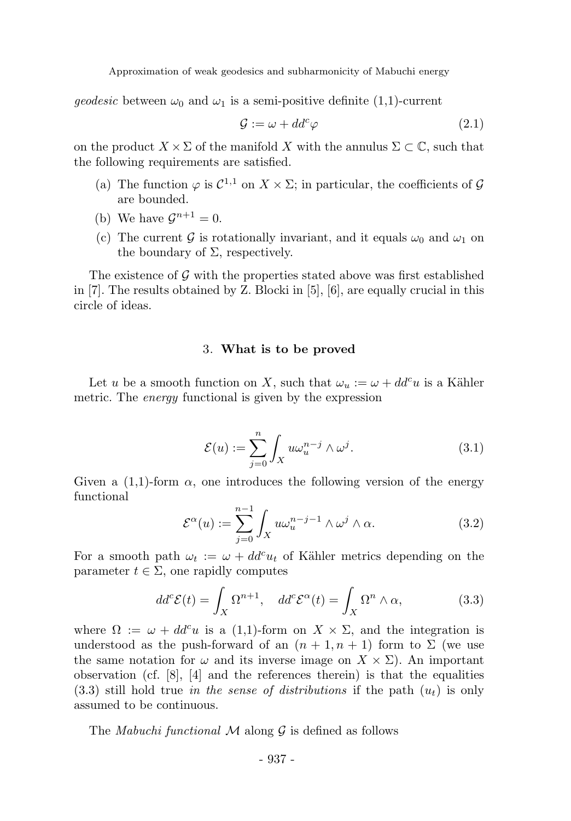*geodesic* between  $\omega_0$  and  $\omega_1$  is a semi-positive definite (1,1)-current

$$
\mathcal{G} := \omega + dd^c \varphi \tag{2.1}
$$

on the product  $X \times \Sigma$  of the manifold X with the annulus  $\Sigma \subset \mathbb{C}$ , such that the following requirements are satisfied.

- (a) The function  $\varphi$  is  $C^{1,1}$  on  $X \times \Sigma$ ; in particular, the coefficients of  $\mathcal G$ are bounded.
- (b) We have  $\mathcal{G}^{n+1} = 0$ .
- (c) The current G is rotationally invariant, and it equals  $\omega_0$  and  $\omega_1$  on the boundary of  $\Sigma$ , respectively.

The existence of  $\mathcal G$  with the properties stated above was first established in [7]. The results obtained by Z. Blocki in [5], [6], are equally crucial in this circle of ideas.

#### 3. What is to be proved

Let u be a smooth function on X, such that  $\omega_u := \omega + dd^c u$  is a Kähler metric. The *energy* functional is given by the expression

$$
\mathcal{E}(u) := \sum_{j=0}^{n} \int_{X} u \omega_u^{n-j} \wedge \omega^j.
$$
 (3.1)

Given a  $(1,1)$ -form  $\alpha$ , one introduces the following version of the energy functional

$$
\mathcal{E}^{\alpha}(u) := \sum_{j=0}^{n-1} \int_{X} u \omega_u^{n-j-1} \wedge \omega^j \wedge \alpha.
$$
 (3.2)

For a smooth path  $\omega_t := \omega + dd^c u_t$  of Kähler metrics depending on the parameter  $t \in \Sigma$ , one rapidly computes

$$
dd^c \mathcal{E}(t) = \int_X \Omega^{n+1}, \quad dd^c \mathcal{E}^\alpha(t) = \int_X \Omega^n \wedge \alpha,\tag{3.3}
$$

where  $\Omega := \omega + dd^c u$  is a (1,1)-form on  $X \times \Sigma$ , and the integration is understood as the push-forward of an  $(n + 1, n + 1)$  form to  $\Sigma$  (we use the same notation for  $\omega$  and its inverse image on  $X \times \Sigma$ ). An important observation (cf.  $|8|, 4|$  and the references therein) is that the equalities  $(3.3)$  still hold true in the sense of distributions if the path  $(u_t)$  is only assumed to be continuous.

The *Mabuchi functional*  $M$  along  $G$  is defined as follows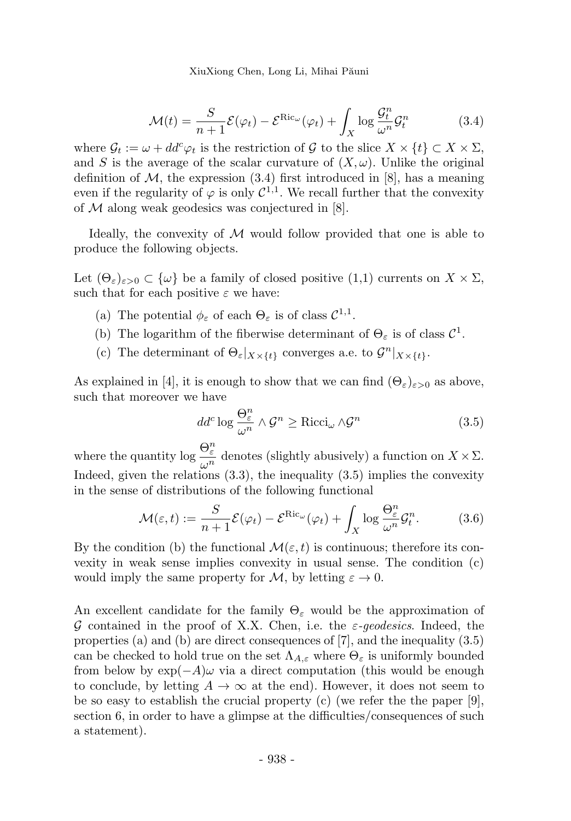XiuXiong Chen, Long Li, Mihai Păuni

$$
\mathcal{M}(t) = \frac{S}{n+1} \mathcal{E}(\varphi_t) - \mathcal{E}^{\text{Ric}_{\omega}}(\varphi_t) + \int_X \log \frac{\mathcal{G}_t^n}{\omega^n} \mathcal{G}_t^n \tag{3.4}
$$

where  $\mathcal{G}_t := \omega + dd^c \varphi_t$  is the restriction of G to the slice  $X \times \{t\} \subset X \times \Sigma$ , and S is the average of the scalar curvature of  $(X,\omega)$ . Unlike the original definition of  $M$ , the expression (3.4) first introduced in [8], has a meaning even if the regularity of  $\varphi$  is only  $\mathcal{C}^{1,1}$ . We recall further that the convexity of  $M$  along weak geodesics was conjectured in [8].

Ideally, the convexity of  $M$  would follow provided that one is able to produce the following objects.

Let  $(\Theta_{\varepsilon})_{\varepsilon>0}\subset\{\omega\}$  be a family of closed positive  $(1,1)$  currents on  $X\times\Sigma$ , such that for each positive  $\varepsilon$  we have:

- (a) The potential  $\phi_{\varepsilon}$  of each  $\Theta_{\varepsilon}$  is of class  $C^{1,1}$ .
- (b) The logarithm of the fiberwise determinant of  $\Theta_{\varepsilon}$  is of class  $\mathcal{C}^1$ .
- (c) The determinant of  $\Theta_{\varepsilon}|_{X\times\{t\}}$  converges a.e. to  $\mathcal{G}^n|_{X\times\{t\}}$ .

As explained in [4], it is enough to show that we can find  $(\Theta_{\varepsilon})_{\varepsilon>0}$  as above, such that moreover we have

$$
dd^c \log \frac{\Theta_{\varepsilon}^n}{\omega^n} \wedge \mathcal{G}^n \ge \text{Ricci}_{\omega} \wedge \mathcal{G}^n \tag{3.5}
$$

where the quantity  $\log \frac{\Theta_{\varepsilon}^n}{n}$  $\frac{\partial \mathcal{L}}{\partial n}$  denotes (slightly abusively) a function on  $X \times \Sigma$ . Indeed, given the relations  $(3.3)$ , the inequality  $(3.5)$  implies the convexity in the sense of distributions of the following functional

$$
\mathcal{M}(\varepsilon, t) := \frac{S}{n+1} \mathcal{E}(\varphi_t) - \mathcal{E}^{\text{Ric}_{\omega}}(\varphi_t) + \int_X \log \frac{\Theta_{\varepsilon}^n}{\omega^n} \mathcal{G}_t^n. \tag{3.6}
$$

By the condition (b) the functional  $\mathcal{M}(\varepsilon, t)$  is continuous; therefore its convexity in weak sense implies convexity in usual sense. The condition (c) would imply the same property for M, by letting  $\varepsilon \to 0$ .

An excellent candidate for the family  $\Theta_{\varepsilon}$  would be the approximation of G contained in the proof of X.X. Chen, i.e. the  $\varepsilon$ -geodesics. Indeed, the properties (a) and (b) are direct consequences of [7], and the inequality (3.5) can be checked to hold true on the set  $\Lambda_{A,\varepsilon}$  where  $\Theta_{\varepsilon}$  is uniformly bounded from below by  $\exp(-A)\omega$  via a direct computation (this would be enough to conclude, by letting  $A \to \infty$  at the end). However, it does not seem to be so easy to establish the crucial property (c) (we refer the the paper  $[9]$ , section 6, in order to have a glimpse at the difficulties/consequences of such a statement).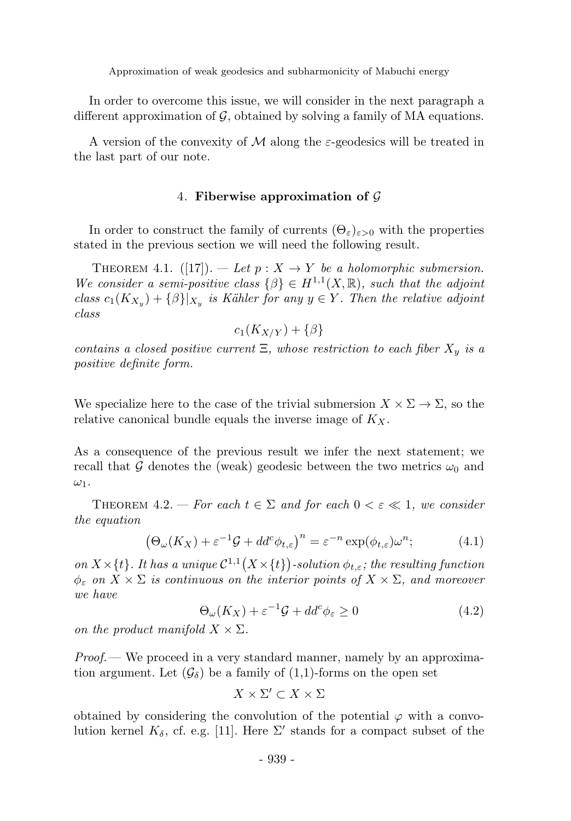In order to overcome this issue, we will consider in the next paragraph a different approximation of  $G$ , obtained by solving a family of MA equations.

A version of the convexity of M along the  $\varepsilon$ -geodesics will be treated in the last part of our note.

#### 4. Fiberwise approximation of  $\mathcal G$

In order to construct the family of currents  $(\Theta_{\varepsilon})_{\varepsilon>0}$  with the properties stated in the previous section we will need the following result.

THEOREM 4.1.  $([17])$ . — Let  $p: X \to Y$  be a holomorphic submersion. We consider a semi-positive class  $\{\beta\} \in H^{1,1}(X,\mathbb{R})$ , such that the adjoint class  $c_1(K_{X_y}) + {\beta}\vert_{X_y}$  is Kähler for any  $y \in Y$ . Then the relative adjoint class

$$
c_1(K_{X/Y}) + \{\beta\}
$$

contains a closed positive current  $\Xi$ , whose restriction to each fiber  $X_y$  is a positive definite form.

We specialize here to the case of the trivial submersion  $X \times \Sigma \rightarrow \Sigma$ , so the relative canonical bundle equals the inverse image of  $K_X$ .

As a consequence of the previous result we infer the next statement; we recall that G denotes the (weak) geodesic between the two metrics  $\omega_0$  and  $\omega_1$ .

THEOREM 4.2. — For each  $t \in \Sigma$  and for each  $0 < \varepsilon \ll 1$ , we consider the equation

$$
\left(\Theta_{\omega}(K_X) + \varepsilon^{-1}\mathcal{G} + dd^c\phi_{t,\varepsilon}\right)^n = \varepsilon^{-n}\exp(\phi_{t,\varepsilon})\omega^n;\tag{4.1}
$$

on  $X \times \{t\}$ . It has a unique  $C^{1,1}(X \times \{t\})$ -solution  $\phi_{t,\varepsilon}$ ; the resulting function  $\phi_{\varepsilon}$  on  $X \times \Sigma$  is continuous on the interior points of  $X \times \Sigma$ , and moreover we have

$$
\Theta_{\omega}(K_X) + \varepsilon^{-1} \mathcal{G} + dd^c \phi_{\varepsilon} \ge 0 \tag{4.2}
$$

on the product manifold  $X \times \Sigma$ .

 $Proof.$  We proceed in a very standard manner, namely by an approximation argument. Let  $(\mathcal{G}_{\delta})$  be a family of  $(1,1)$ -forms on the open set

$$
X \times \Sigma' \subset X \times \Sigma
$$

obtained by considering the convolution of the potential  $\varphi$  with a convolution kernel  $K_{\delta}$ , cf. e.g. [11]. Here  $\Sigma'$  stands for a compact subset of the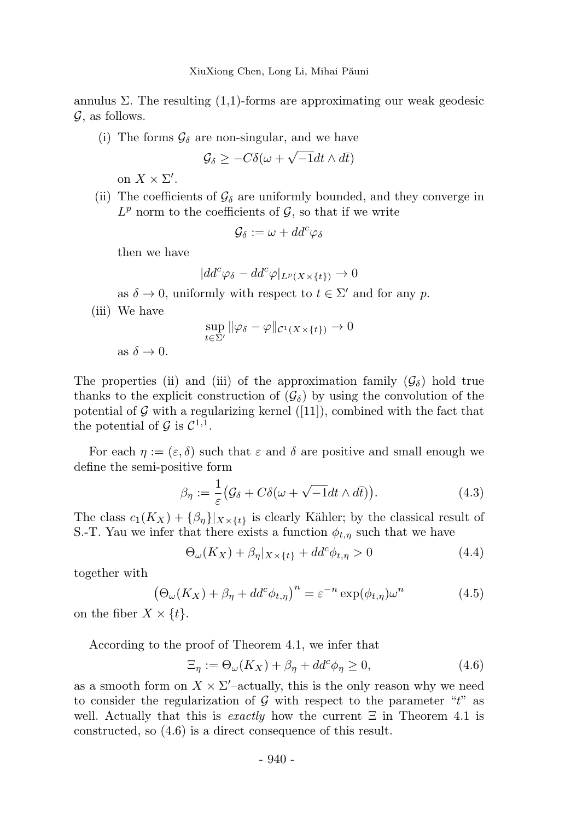annulus  $\Sigma$ . The resulting  $(1,1)$ -forms are approximating our weak geodesic  $\mathcal{G}$ , as follows.

(i) The forms  $\mathcal{G}_{\delta}$  are non-singular, and we have

$$
\mathcal{G}_{\delta} \geq -C\delta(\omega + \sqrt{-1}dt \wedge d\bar{t})
$$

on  $X \times \Sigma'$ .

(ii) The coefficients of  $\mathcal{G}_{\delta}$  are uniformly bounded, and they converge in  $L^p$  norm to the coefficients of  $\mathcal{G}$ , so that if we write

$$
\mathcal{G}_{\delta}:=\omega+dd^c\varphi_{\delta}
$$

then we have

$$
|dd^c \varphi_\delta - dd^c \varphi|_{L^p(X \times \{t\})} \to 0
$$

as  $\delta \to 0$ , uniformly with respect to  $t \in \Sigma'$  and for any p.

(iii) We have

$$
\sup_{t\in\Sigma'}\|\varphi_\delta-\varphi\|_{\mathcal{C}^1(X\times\{t\})}\to 0
$$

as  $\delta \to 0$ .

The properties (ii) and (iii) of the approximation family  $(\mathcal{G}_{\delta})$  hold true thanks to the explicit construction of  $(\mathcal{G}_{\delta})$  by using the convolution of the potential of  $G$  with a regularizing kernel ([11]), combined with the fact that the potential of  $\mathcal{G}$  is  $\mathcal{C}^{1,1}$ .

For each  $\eta := (\varepsilon, \delta)$  such that  $\varepsilon$  and  $\delta$  are positive and small enough we define the semi-positive form

$$
\beta_{\eta} := \frac{1}{\varepsilon} \big( \mathcal{G}_{\delta} + C \delta(\omega + \sqrt{-1} dt \wedge d\bar{t}) \big). \tag{4.3}
$$

The class  $c_1(K_X) + {\beta_{\eta}}|_{X\times\{t\}}$  is clearly Kähler; by the classical result of S.-T. Yau we infer that there exists a function  $\phi_{t,\eta}$  such that we have

$$
\Theta_{\omega}(K_X) + \beta_{\eta}|_{X \times \{t\}} + dd^c \phi_{t,\eta} > 0 \tag{4.4}
$$

together with

$$
\left(\Theta_{\omega}(K_X) + \beta_{\eta} + dd^c \phi_{t,\eta}\right)^n = \varepsilon^{-n} \exp(\phi_{t,\eta}) \omega^n \tag{4.5}
$$

on the fiber  $X \times \{t\}$ .

According to the proof of Theorem 4.1, we infer that

$$
\Xi_{\eta} := \Theta_{\omega}(K_X) + \beta_{\eta} + dd^c \phi_{\eta} \ge 0, \tag{4.6}
$$

as a smooth form on  $X \times \Sigma'$ -actually, this is the only reason why we need to consider the regularization of  $\mathcal G$  with respect to the parameter "t" as well. Actually that this is exactly how the current  $\Xi$  in Theorem 4.1 is constructed, so (4.6) is a direct consequence of this result.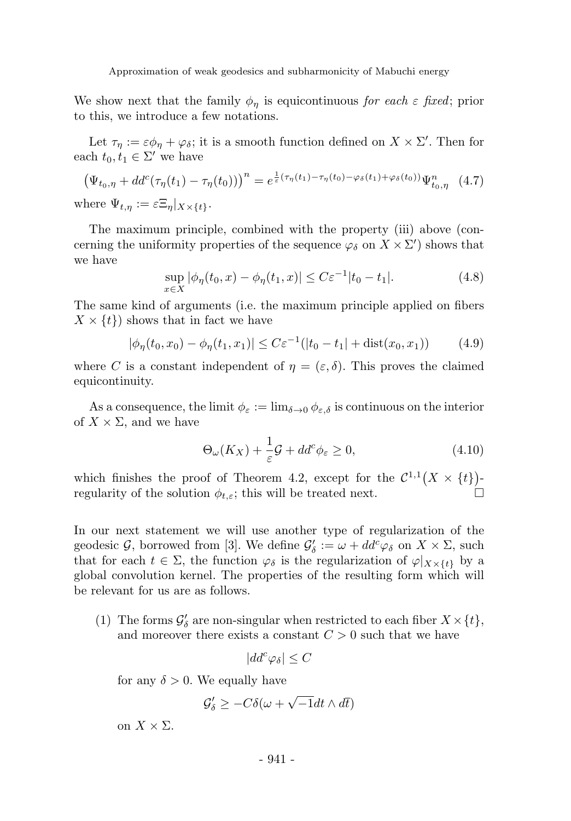We show next that the family  $\phi_{\eta}$  is equicontinuous for each  $\varepsilon$  fixed; prior to this, we introduce a few notations.

Let  $\tau_{\eta} := \varepsilon \phi_{\eta} + \varphi_{\delta}$ ; it is a smooth function defined on  $X \times \Sigma'$ . Then for each  $t_0, t_1 \in \Sigma'$  we have

$$
\left(\Psi_{t_0,\eta} + dd^c(\tau_\eta(t_1) - \tau_\eta(t_0))\right)^n = e^{\frac{1}{\varepsilon}(\tau_\eta(t_1) - \tau_\eta(t_0) - \varphi_\delta(t_1) + \varphi_\delta(t_0))}\Psi^n_{t_0,\eta} \quad (4.7)
$$
\nwhere  $\Psi_{t,\eta} := \varepsilon \Xi_\eta|_{X \times \{t\}}.$ 

The maximum principle, combined with the property (iii) above (concerning the uniformity properties of the sequence  $\varphi_{\delta}$  on  $X \times \Sigma'$ ) shows that we have

$$
\sup_{x \in X} |\phi_{\eta}(t_0, x) - \phi_{\eta}(t_1, x)| \le C \varepsilon^{-1} |t_0 - t_1|.
$$
 (4.8)

The same kind of arguments (i.e. the maximum principle applied on fibers  $X \times \{t\}$  shows that in fact we have

$$
|\phi_{\eta}(t_0, x_0) - \phi_{\eta}(t_1, x_1)| \leq C\varepsilon^{-1}(|t_0 - t_1| + \text{dist}(x_0, x_1)) \tag{4.9}
$$

where C is a constant independent of  $\eta = (\varepsilon, \delta)$ . This proves the claimed equicontinuity.

As a consequence, the limit  $\phi_{\varepsilon} := \lim_{\delta \to 0} \phi_{\varepsilon,\delta}$  is continuous on the interior of  $X \times \Sigma$ , and we have

$$
\Theta_{\omega}(K_X) + \frac{1}{\varepsilon}\mathcal{G} + dd^c \phi_{\varepsilon} \ge 0, \tag{4.10}
$$

which finishes the proof of Theorem 4.2, except for the  $\mathcal{C}^{1,1}(X \times \{t\})$ regularity of the solution  $\phi_{t,\varepsilon}$ ; this will be treated next.

In our next statement we will use another type of regularization of the geodesic G, borrowed from [3]. We define  $\mathcal{G}'_{\delta} := \omega + dd^c \varphi_{\delta}$  on  $X \times \Sigma$ , such that for each  $t \in \Sigma$ , the function  $\varphi_{\delta}$  is the regularization of  $\varphi|_{X\times\{t\}}$  by a global convolution kernel. The properties of the resulting form which will be relevant for us are as follows.

(1) The forms  $\mathcal{G}'_{\delta}$  are non-singular when restricted to each fiber  $X \times \{t\}$ , and moreover there exists a constant  $C > 0$  such that we have

$$
|dd^c \varphi_\delta| \leq C
$$

for any  $\delta > 0$ . We equally have

$$
\mathcal{G}'_{\delta} \geq -C\delta(\omega + \sqrt{-1}dt \wedge d\bar{t})
$$

on  $X \times \Sigma$ .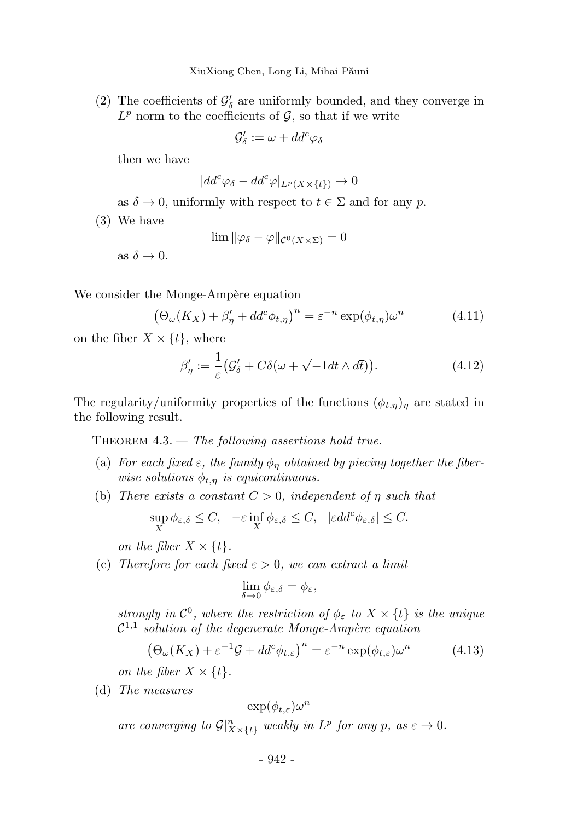XiuXiong Chen, Long Li, Mihai Păuni

(2) The coefficients of  $\mathcal{G}'_{\delta}$  are uniformly bounded, and they converge in  $L^p$  norm to the coefficients of  $\mathcal{G}$ , so that if we write

$$
\mathcal{G}'_{\delta} := \omega + dd^c \varphi_{\delta}
$$

then we have

$$
|dd^c \varphi_\delta - dd^c \varphi|_{L^p(X \times \{t\})} \to 0
$$

as  $\delta \to 0$ , uniformly with respect to  $t \in \Sigma$  and for any p.

(3) We have

$$
\lim \|\varphi_{\delta} - \varphi\|_{\mathcal{C}^0(X \times \Sigma)} = 0
$$

as  $\delta \to 0$ .

We consider the Monge-Ampère equation

$$
\left(\Theta_{\omega}(K_X) + \beta_{\eta}' + dd^c \phi_{t,\eta}\right)^n = \varepsilon^{-n} \exp(\phi_{t,\eta}) \omega^n \tag{4.11}
$$

on the fiber  $X \times \{t\}$ , where

$$
\beta'_{\eta} := \frac{1}{\varepsilon} \left( \mathcal{G}'_{\delta} + C \delta(\omega + \sqrt{-1} dt \wedge d\bar{t}) \right). \tag{4.12}
$$

The regularity/uniformity properties of the functions  $(\phi_{t,\eta})_n$  are stated in the following result.

THEOREM  $4.3.$  — The following assertions hold true.

- (a) For each fixed  $\varepsilon$ , the family  $\phi_{\eta}$  obtained by piecing together the fiberwise solutions  $\phi_{t,\eta}$  is equicontinuous.
- (b) There exists a constant  $C > 0$ , independent of  $\eta$  such that

$$
\sup_X \phi_{\varepsilon,\delta} \leq C, \quad -\varepsilon \inf_X \phi_{\varepsilon,\delta} \leq C, \quad |\varepsilon dd^c \phi_{\varepsilon,\delta}| \leq C.
$$

on the fiber  $X \times \{t\}$ .

(c) Therefore for each fixed  $\varepsilon > 0$ , we can extract a limit

$$
\lim_{\delta \to 0} \phi_{\varepsilon,\delta} = \phi_{\varepsilon},
$$

strongly in  $\mathcal{C}^0$ , where the restriction of  $\phi_{\varepsilon}$  to  $X \times \{t\}$  is the unique  $\mathcal{C}^{1,1}$  solution of the degenerate Monge-Ampère equation

$$
\left(\Theta_{\omega}(K_X) + \varepsilon^{-1}\mathcal{G} + dd^c \phi_{t,\varepsilon}\right)^n = \varepsilon^{-n} \exp(\phi_{t,\varepsilon}) \omega^n \tag{4.13}
$$

on the fiber  $X \times \{t\}$ .

(d) The measures

$$
\exp(\phi_{t,\varepsilon})\omega^n
$$

are converging to  $\mathcal{G}|_{X\times\{t\}}^n$  weakly in  $L^p$  for any p, as  $\varepsilon\to 0$ .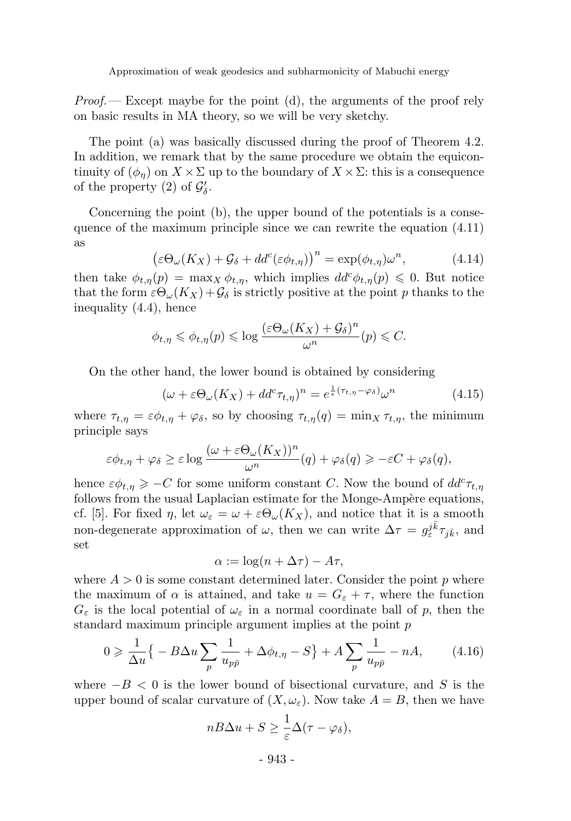*Proof.*— Except maybe for the point (d), the arguments of the proof rely on basic results in MA theory, so we will be very sketchy.

The point (a) was basically discussed during the proof of Theorem 4.2. In addition, we remark that by the same procedure we obtain the equicontinuity of  $(\phi_n)$  on  $X \times \Sigma$  up to the boundary of  $X \times \Sigma$ : this is a consequence of the property (2) of  $\mathcal{G}'_{\delta}$ .

Concerning the point (b), the upper bound of the potentials is a consequence of the maximum principle since we can rewrite the equation (4.11) as

$$
\left(\varepsilon \Theta_{\omega}(K_X) + \mathcal{G}_{\delta} + dd^c(\varepsilon \phi_{t,\eta})\right)^n = \exp(\phi_{t,\eta}) \omega^n, \tag{4.14}
$$

then take  $\phi_{t,\eta}(p) = \max_X \phi_{t,\eta}$ , which implies  $dd^c \phi_{t,\eta}(p) \leq 0$ . But notice that the form  $\varepsilon \Theta_{\omega}(K_X) + \mathcal{G}_{\delta}$  is strictly positive at the point p thanks to the inequality (4.4), hence

$$
\phi_{t,\eta} \leqslant \phi_{t,\eta}(p) \leqslant \log \frac{(\varepsilon \Theta_{\omega}(K_X) + \mathcal{G}_{\delta})^n}{\omega^n}(p) \leqslant C.
$$

On the other hand, the lower bound is obtained by considering

$$
(\omega + \varepsilon \Theta_{\omega}(K_X) + dd^c \tau_{t,\eta})^n = e^{\frac{1}{\varepsilon}(\tau_{t,\eta} - \varphi_{\delta})} \omega^n \tag{4.15}
$$

where  $\tau_{t,\eta} = \varepsilon \phi_{t,\eta} + \varphi_{\delta}$ , so by choosing  $\tau_{t,\eta}(q) = \min_X \tau_{t,\eta}$ , the minimum principle says

$$
\varepsilon \phi_{t,\eta} + \varphi_{\delta} \ge \varepsilon \log \frac{(\omega + \varepsilon \Theta_{\omega}(K_X))^n}{\omega^n}(q) + \varphi_{\delta}(q) \ge -\varepsilon C + \varphi_{\delta}(q),
$$

hence  $\varepsilon \phi_{t,\eta} \geqslant -C$  for some uniform constant C. Now the bound of  $dd^c \tau_{t,\eta}$ follows from the usual Laplacian estimate for the Monge-Ampère equations, cf. [5]. For fixed  $\eta$ , let  $\omega_{\varepsilon} = \omega + \varepsilon \Theta_{\omega}(K_X)$ , and notice that it is a smooth non-degenerate approximation of  $\omega$ , then we can write  $\Delta \tau = g_{\varepsilon}^{j\bar{k}}\tau_{j\bar{k}}$ , and set

$$
\alpha := \log(n + \Delta \tau) - A\tau,
$$

where  $A > 0$  is some constant determined later. Consider the point p where the maximum of  $\alpha$  is attained, and take  $u = G_{\varepsilon} + \tau$ , where the function  $G_{\varepsilon}$  is the local potential of  $\omega_{\varepsilon}$  in a normal coordinate ball of p, then the standard maximum principle argument implies at the point p

$$
0 \geqslant \frac{1}{\Delta u} \left\{ -B \Delta u \sum_{p} \frac{1}{u_{p\bar{p}}} + \Delta \phi_{t,\eta} - S \right\} + A \sum_{p} \frac{1}{u_{p\bar{p}}} - nA, \tag{4.16}
$$

where  $-B < 0$  is the lower bound of bisectional curvature, and S is the upper bound of scalar curvature of  $(X, \omega_{\varepsilon})$ . Now take  $A = B$ , then we have

$$
nB\Delta u + S \geq \frac{1}{\varepsilon} \Delta(\tau - \varphi_{\delta}),
$$

- 943 -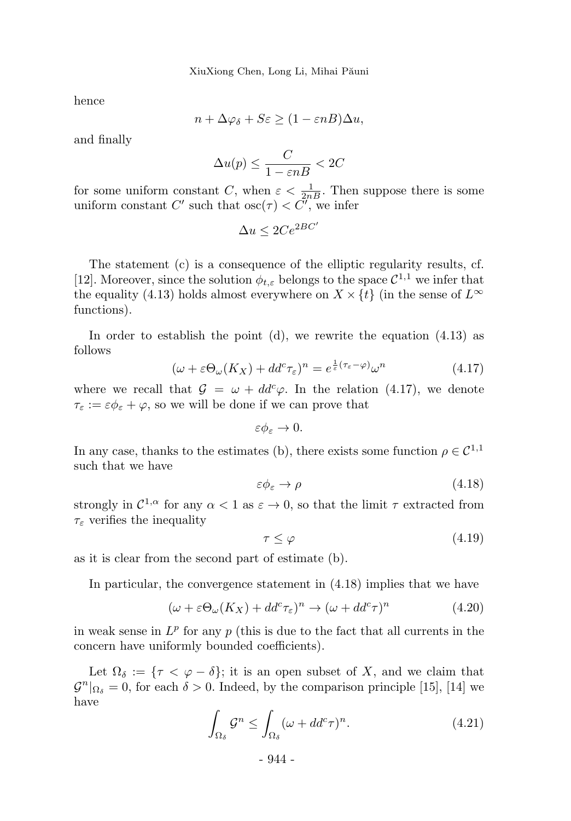hence

$$
n + \Delta\varphi_{\delta} + S\varepsilon \ge (1 - \varepsilon n) \Delta u,
$$

and finally

$$
\Delta u(p) \le \frac{C}{1 - \varepsilon nB} < 2C
$$

for some uniform constant C, when  $\varepsilon < \frac{1}{2nB}$ . Then suppose there is some uniform constant C' such that  $\csc(\tau) < C'$ , we infer

$$
\Delta u \le 2Ce^{2BC'}
$$

The statement (c) is a consequence of the elliptic regularity results, cf. [12]. Moreover, since the solution  $\phi_{t,\varepsilon}$  belongs to the space  $C^{1,1}$  we infer that the equality (4.13) holds almost everywhere on  $X \times \{t\}$  (in the sense of  $L^{\infty}$ functions).

In order to establish the point  $(d)$ , we rewrite the equation  $(4.13)$  as follows

$$
(\omega + \varepsilon \Theta_{\omega}(K_X) + dd^c \tau_{\varepsilon})^n = e^{\frac{1}{\varepsilon}(\tau_{\varepsilon} - \varphi)} \omega^n \tag{4.17}
$$

where we recall that  $\mathcal{G} = \omega + dd^c \varphi$ . In the relation (4.17), we denote  $\tau_{\varepsilon} := \varepsilon \phi_{\varepsilon} + \varphi$ , so we will be done if we can prove that

 $\varepsilon \phi_{\varepsilon} \to 0.$ 

In any case, thanks to the estimates (b), there exists some function  $\rho \in \mathcal{C}^{1,1}$ such that we have

$$
\varepsilon \phi_{\varepsilon} \to \rho \tag{4.18}
$$

strongly in  $\mathcal{C}^{1,\alpha}$  for any  $\alpha < 1$  as  $\varepsilon \to 0$ , so that the limit  $\tau$  extracted from  $\tau_{\varepsilon}$  verifies the inequality

$$
\tau \le \varphi \tag{4.19}
$$

as it is clear from the second part of estimate (b).

In particular, the convergence statement in (4.18) implies that we have

$$
(\omega + \varepsilon \Theta_{\omega}(K_X) + dd^c \tau_{\varepsilon})^n \to (\omega + dd^c \tau)^n \tag{4.20}
$$

in weak sense in  $L^p$  for any  $p$  (this is due to the fact that all currents in the concern have uniformly bounded coefficients).

Let  $\Omega_{\delta} := \{ \tau \langle \varphi - \delta \rangle \}$ ; it is an open subset of X, and we claim that  $\mathcal{G}^n|_{\Omega_\delta} = 0$ , for each  $\delta > 0$ . Indeed, by the comparison principle [15], [14] we have

$$
\int_{\Omega_{\delta}} \mathcal{G}^n \le \int_{\Omega_{\delta}} (\omega + dd^c \tau)^n. \tag{4.21}
$$

- 944 -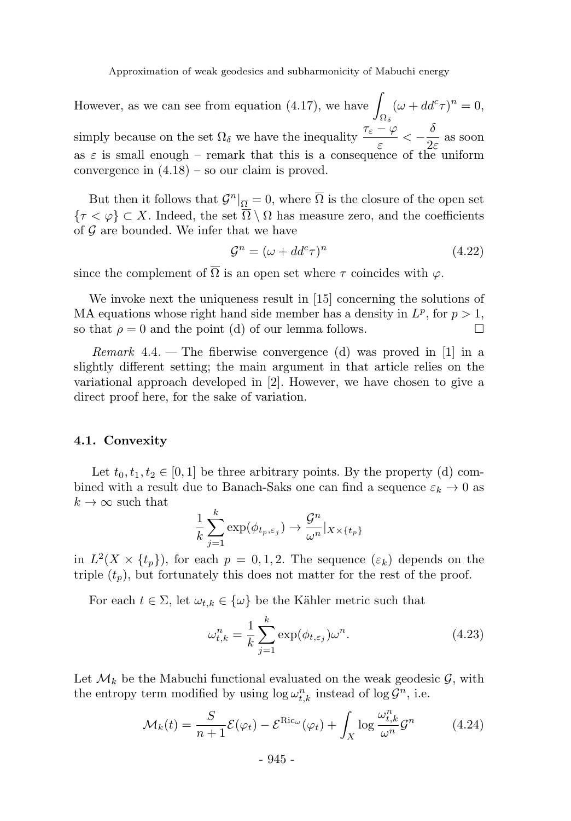However, as we can see from equation (4.17), we have  $\Omega_\delta$  $(\omega + dd^c \tau)^n = 0,$ simply because on the set  $\Omega_{\delta}$  we have the inequality  $\frac{\tau_{\varepsilon} - \varphi}{\varepsilon} < -\frac{\delta}{2\varepsilon}$  $\frac{1}{2\varepsilon}$  as soon as  $\varepsilon$  is small enough – remark that this is a consequence of the uniform convergence in (4.18) – so our claim is proved.

But then it follows that  $\mathcal{G}^n|_{\overline{\Omega}} = 0$ , where  $\overline{\Omega}$  is the closure of the open set  ${\tau < \varphi} \subset X$ . Indeed, the set  $\overline{\Omega} \setminus \Omega$  has measure zero, and the coefficients of  $\mathcal G$  are bounded. We infer that we have

$$
\mathcal{G}^n = (\omega + dd^c \tau)^n \tag{4.22}
$$

since the complement of  $\overline{\Omega}$  is an open set where  $\tau$  coincides with  $\varphi$ .

We invoke next the uniqueness result in [15] concerning the solutions of MA equations whose right hand side member has a density in  $L^p$ , for  $p > 1$ , so that  $\rho = 0$  and the point (d) of our lemma follows.

*Remark* 4.4. — The fiberwise convergence (d) was proved in [1] in a slightly different setting; the main argument in that article relies on the variational approach developed in [2]. However, we have chosen to give a direct proof here, for the sake of variation.

#### 4.1. Convexity

Let  $t_0, t_1, t_2 \in [0, 1]$  be three arbitrary points. By the property (d) combined with a result due to Banach-Saks one can find a sequence  $\varepsilon_k \to 0$  as  $k \to \infty$  such that

$$
\frac{1}{k}\sum_{j=1}^{k}\exp(\phi_{t_p,\varepsilon_j})\to \frac{\mathcal{G}^n}{\omega^n}|_{X\times\{t_p\}}
$$

in  $L^2(X \times \{t_p\})$ , for each  $p = 0, 1, 2$ . The sequence  $(\varepsilon_k)$  depends on the triple  $(t_p)$ , but fortunately this does not matter for the rest of the proof.

For each  $t \in \Sigma$ , let  $\omega_{t,k} \in {\omega}$  be the Kähler metric such that

$$
\omega_{t,k}^n = \frac{1}{k} \sum_{j=1}^k \exp(\phi_{t,\varepsilon_j}) \omega^n.
$$
\n(4.23)

Let  $\mathcal{M}_k$  be the Mabuchi functional evaluated on the weak geodesic  $\mathcal{G}$ , with the entropy term modified by using  $\log \omega_{t,k}^n$  instead of  $\log \mathcal{G}^n$ , i.e.

$$
\mathcal{M}_k(t) = \frac{S}{n+1} \mathcal{E}(\varphi_t) - \mathcal{E}^{\text{Ric}_{\omega}}(\varphi_t) + \int_X \log \frac{\omega_{t,k}^n}{\omega^n} \mathcal{G}^n \tag{4.24}
$$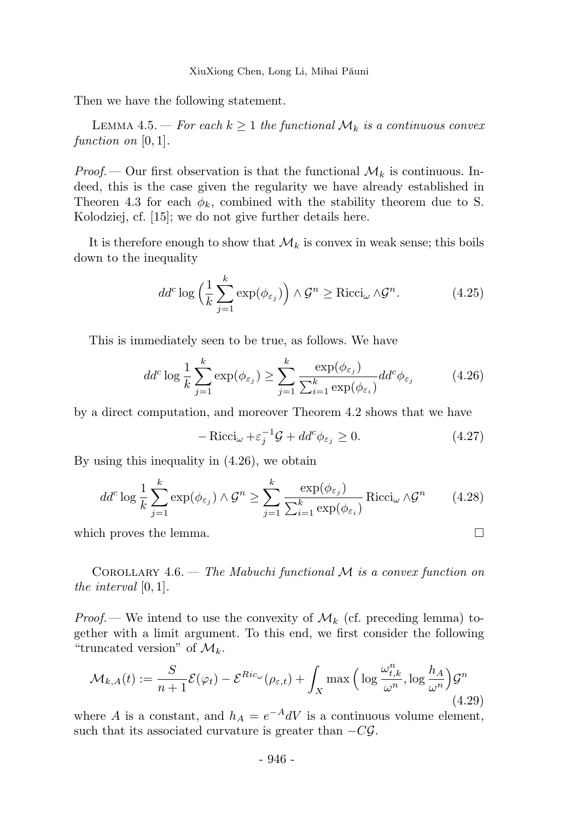Then we have the following statement.

LEMMA 4.5. — For each  $k \geq 1$  the functional  $\mathcal{M}_k$  is a continuous convex function on  $[0, 1]$ .

*Proof.*— Our first observation is that the functional  $\mathcal{M}_k$  is continuous. Indeed, this is the case given the regularity we have already established in Theoren 4.3 for each  $\phi_k$ , combined with the stability theorem due to S. Kolodziej, cf. [15]; we do not give further details here.

It is therefore enough to show that  $\mathcal{M}_k$  is convex in weak sense; this boils down to the inequality

$$
dd^c \log \left(\frac{1}{k} \sum_{j=1}^k \exp(\phi_{\varepsilon_j})\right) \wedge \mathcal{G}^n \ge \text{Ricci}_{\omega} \wedge \mathcal{G}^n. \tag{4.25}
$$

This is immediately seen to be true, as follows. We have

$$
dd^c \log \frac{1}{k} \sum_{j=1}^k \exp(\phi_{\varepsilon_j}) \ge \sum_{j=1}^k \frac{\exp(\phi_{\varepsilon_j})}{\sum_{i=1}^k \exp(\phi_{\varepsilon_i})} dd^c \phi_{\varepsilon_j}
$$
(4.26)

by a direct computation, and moreover Theorem 4.2 shows that we have

$$
-\operatorname{Ricci}_{\omega} + \varepsilon_j^{-1} \mathcal{G} + dd^c \phi_{\varepsilon_j} \ge 0. \tag{4.27}
$$

By using this inequality in (4.26), we obtain

$$
dd^c \log \frac{1}{k} \sum_{j=1}^k \exp(\phi_{\varepsilon_j}) \wedge \mathcal{G}^n \ge \sum_{j=1}^k \frac{\exp(\phi_{\varepsilon_j})}{\sum_{i=1}^k \exp(\phi_{\varepsilon_i})} \text{Ricci}_{\omega} \wedge \mathcal{G}^n \tag{4.28}
$$

which proves the lemma.  $\Box$ 

COROLLARY 4.6. — The Mabuchi functional  $\mathcal M$  is a convex function on the interval [0, 1].

*Proof.*— We intend to use the convexity of  $\mathcal{M}_k$  (cf. preceding lemma) together with a limit argument. To this end, we first consider the following "truncated version" of  $\mathcal{M}_k$ .

$$
\mathcal{M}_{k,A}(t) := \frac{S}{n+1} \mathcal{E}(\varphi_t) - \mathcal{E}^{Ric_{\omega}}(\rho_{\varepsilon,t}) + \int_X \max\left(\log \frac{\omega_{t,k}^n}{\omega^n}, \log \frac{h_A}{\omega^n}\right) \mathcal{G}^n
$$
\n(4.29)

where A is a constant, and  $h_A = e^{-A} dV$  is a continuous volume element, such that its associated curvature is greater than  $-C\mathcal{G}$ .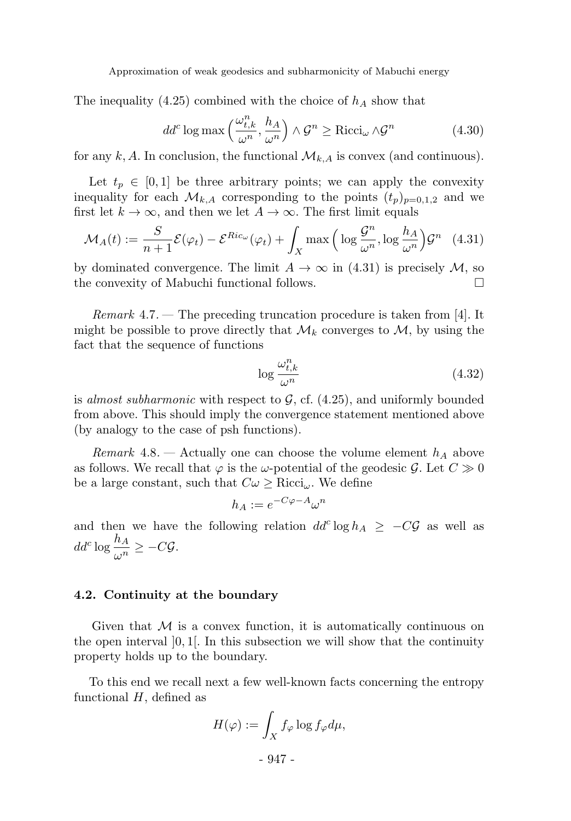The inequality (4.25) combined with the choice of  $h_A$  show that

$$
dd^c \log \max\left(\frac{\omega_{t,k}^n}{\omega^n}, \frac{h_A}{\omega^n}\right) \wedge \mathcal{G}^n \ge \text{Ricci}_{\omega} \wedge \mathcal{G}^n \tag{4.30}
$$

for any k, A. In conclusion, the functional  $\mathcal{M}_{k,A}$  is convex (and continuous).

Let  $t_p \in [0, 1]$  be three arbitrary points; we can apply the convexity inequality for each  $\mathcal{M}_{k,A}$  corresponding to the points  $(t_p)_{p=0,1,2}$  and we first let  $k \to \infty$ , and then we let  $A \to \infty$ . The first limit equals

$$
\mathcal{M}_A(t) := \frac{S}{n+1} \mathcal{E}(\varphi_t) - \mathcal{E}^{Ric_{\omega}}(\varphi_t) + \int_X \max\left(\log \frac{\mathcal{G}^n}{\omega^n}, \log \frac{h_A}{\omega^n}\right) \mathcal{G}^n \quad (4.31)
$$

by dominated convergence. The limit  $A \to \infty$  in (4.31) is precisely  $M$ , so the convexity of Mabuchi functional follows the convexity of Mabuchi functional follows.

*Remark* 4.7. — The preceding truncation procedure is taken from [4]. It might be possible to prove directly that  $\mathcal{M}_k$  converges to  $\mathcal{M}$ , by using the fact that the sequence of functions

$$
\log \frac{\omega_{t,k}^n}{\omega^n} \tag{4.32}
$$

is almost subharmonic with respect to  $\mathcal{G}$ , cf. (4.25), and uniformly bounded from above. This should imply the convergence statement mentioned above (by analogy to the case of psh functions).

Remark 4.8. — Actually one can choose the volume element  $h_A$  above as follows. We recall that  $\varphi$  is the  $\omega$ -potential of the geodesic  $\mathcal{G}$ . Let  $C \gg 0$ be a large constant, such that  $C\omega \geq \text{Ricci}_{\omega}$ . We define

$$
h_A := e^{-C\varphi - A} \omega^n
$$

and then we have the following relation  $dd^c \log h_A \geq -C\mathcal{G}$  as well as  $dd^c \log \frac{h_A}{\omega^n} \geq -C \mathcal{G}.$ 

#### 4.2. Continuity at the boundary

Given that  $\mathcal M$  is a convex function, it is automatically continuous on the open interval  $[0, 1]$ . In this subsection we will show that the continuity property holds up to the boundary.

To this end we recall next a few well-known facts concerning the entropy functional  $H$ , defined as

$$
H(\varphi) := \int_X f_{\varphi} \log f_{\varphi} d\mu,
$$

- 947 -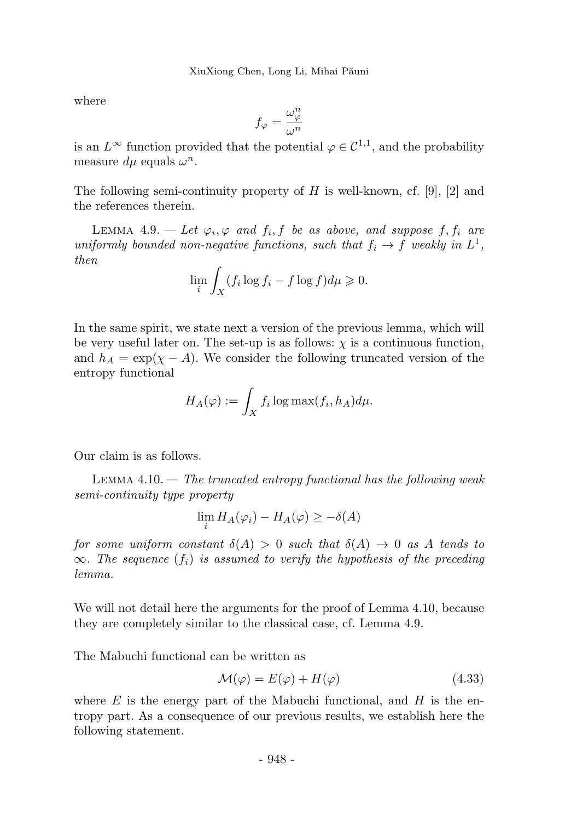where

$$
f_\varphi=\frac{\omega^n_\varphi}{\omega^n}
$$

is an  $L^{\infty}$  function provided that the potential  $\varphi \in C^{1,1}$ , and the probability measure  $d\mu$  equals  $\omega^n$ .

The following semi-continuity property of  $H$  is well-known, cf. [9], [2] and the references therein.

LEMMA 4.9. — Let  $\varphi_i, \varphi$  and  $f_i, f$  be as above, and suppose  $f, f_i$  are uniformly bounded non-negative functions, such that  $f_i \to f$  weakly in  $L^1$ , then

$$
\lim_{i} \int_{X} (f_i \log f_i - f \log f) d\mu \geq 0.
$$

In the same spirit, we state next a version of the previous lemma, which will be very useful later on. The set-up is as follows:  $\chi$  is a continuous function, and  $h_A = \exp(\chi - A)$ . We consider the following truncated version of the entropy functional

$$
H_A(\varphi) := \int_X f_i \log \max(f_i, h_A) d\mu.
$$

Our claim is as follows.

LEMMA  $4.10 -$  The truncated entropy functional has the following weak semi-continuity type property

$$
\lim_{i} H_{A}(\varphi_{i}) - H_{A}(\varphi) \geq -\delta(A)
$$

for some uniform constant  $\delta(A) > 0$  such that  $\delta(A) \to 0$  as A tends to  $\infty$ . The sequence  $(f_i)$  is assumed to verify the hypothesis of the preceding lemma.

We will not detail here the arguments for the proof of Lemma 4.10, because they are completely similar to the classical case, cf. Lemma 4.9.

The Mabuchi functional can be written as

$$
\mathcal{M}(\varphi) = E(\varphi) + H(\varphi) \tag{4.33}
$$

where  $E$  is the energy part of the Mabuchi functional, and  $H$  is the entropy part. As a consequence of our previous results, we establish here the following statement.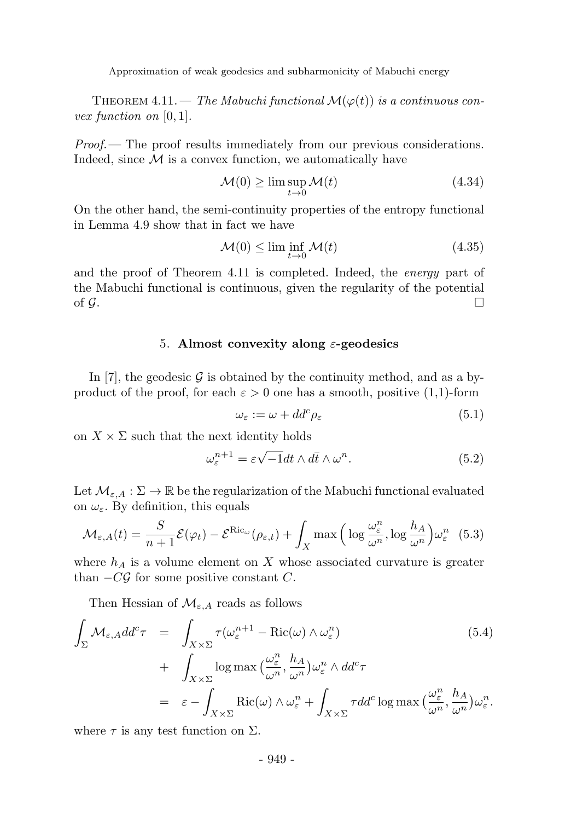THEOREM 4.11. — The Mabuchi functional  $\mathcal{M}(\varphi(t))$  is a continuous convex function on  $[0, 1]$ .

 $Proof.$  The proof results immediately from our previous considerations. Indeed, since  $\mathcal M$  is a convex function, we automatically have

$$
\mathcal{M}(0) \ge \limsup_{t \to 0} \mathcal{M}(t) \tag{4.34}
$$

On the other hand, the semi-continuity properties of the entropy functional in Lemma 4.9 show that in fact we have

$$
\mathcal{M}(0) \le \liminf_{t \to 0} \mathcal{M}(t) \tag{4.35}
$$

and the proof of Theorem 4.11 is completed. Indeed, the *energy* part of the Mabuchi functional is continuous, given the regularity of the potential of  $\mathcal{G}$ .

#### 5. Almost convexity along  $\varepsilon$ -geodesics

In [7], the geodesic G is obtained by the continuity method, and as a byproduct of the proof, for each  $\varepsilon > 0$  one has a smooth, positive (1,1)-form

$$
\omega_{\varepsilon} := \omega + dd^c \rho_{\varepsilon} \tag{5.1}
$$

on  $X \times \Sigma$  such that the next identity holds

$$
\omega_{\varepsilon}^{n+1} = \varepsilon \sqrt{-1} dt \wedge d\bar{t} \wedge \omega^n. \tag{5.2}
$$

Let  $\mathcal{M}_{\varepsilon,A}: \Sigma \to \mathbb{R}$  be the regularization of the Mabuchi functional evaluated on  $\omega_{\varepsilon}$ . By definition, this equals

$$
\mathcal{M}_{\varepsilon,A}(t) = \frac{S}{n+1} \mathcal{E}(\varphi_t) - \mathcal{E}^{\text{Ric}_{\omega}}(\rho_{\varepsilon,t}) + \int_X \max\left(\log \frac{\omega_{\varepsilon}^n}{\omega^n}, \log \frac{h_A}{\omega^n}\right) \omega_{\varepsilon}^n \tag{5.3}
$$

where  $h_A$  is a volume element on X whose associated curvature is greater than  $-CG$  for some positive constant C.

Then Hessian of  $\mathcal{M}_{\varepsilon, A}$  reads as follows

$$
\int_{\Sigma} \mathcal{M}_{\varepsilon, A} dd^c \tau = \int_{X \times \Sigma} \tau(\omega_{\varepsilon}^{n+1} - \text{Ric}(\omega) \wedge \omega_{\varepsilon}^n) \tag{5.4}
$$
\n
$$
+ \int_{X \times \Sigma} \log \max \left( \frac{\omega_{\varepsilon}^n}{\omega^n}, \frac{h_A}{\omega^n} \right) \omega_{\varepsilon}^n \wedge dd^c \tau
$$
\n
$$
= \varepsilon - \int_{X \times \Sigma} \text{Ric}(\omega) \wedge \omega_{\varepsilon}^n + \int_{X \times \Sigma} \tau dd^c \log \max \left( \frac{\omega_{\varepsilon}^n}{\omega^n}, \frac{h_A}{\omega^n} \right) \omega_{\varepsilon}^n.
$$

where  $\tau$  is any test function on  $\Sigma$ .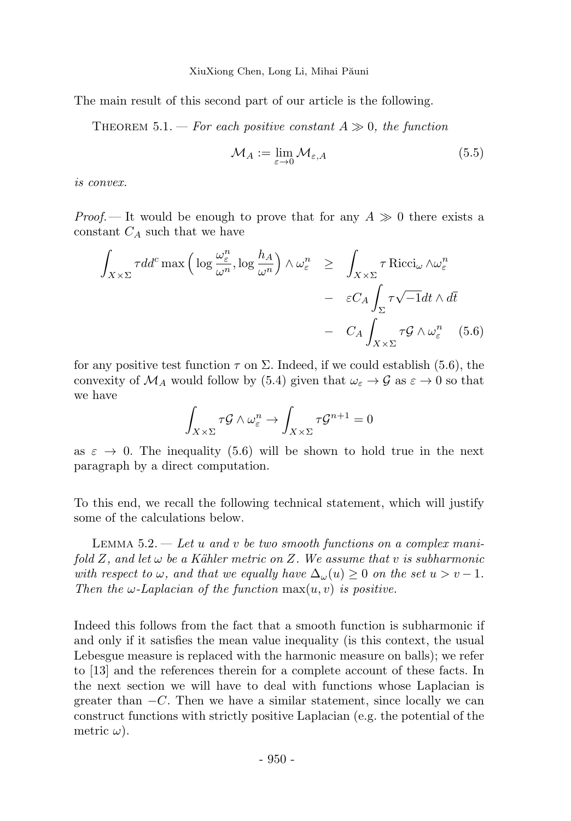XiuXiong Chen, Long Li, Mihai Păuni

The main result of this second part of our article is the following.

THEOREM 5.1. — For each positive constant  $A \gg 0$ , the function

$$
\mathcal{M}_A := \lim_{\varepsilon \to 0} \mathcal{M}_{\varepsilon, A} \tag{5.5}
$$

is convex.

*Proof.*— It would be enough to prove that for any  $A \gg 0$  there exists a constant  $C_A$  such that we have

$$
\int_{X \times \Sigma} \tau d d^c \max \left( \log \frac{\omega_{\varepsilon}^n}{\omega^n}, \log \frac{h_A}{\omega^n} \right) \wedge \omega_{\varepsilon}^n \ge \int_{X \times \Sigma} \tau \operatorname{Ricci}_{\omega} \wedge \omega_{\varepsilon}^n
$$
\n
$$
- \varepsilon C_A \int_{\Sigma} \tau \sqrt{-1} dt \wedge d\bar{t}
$$
\n
$$
- C_A \int_{X \times \Sigma} \tau \mathcal{G} \wedge \omega_{\varepsilon}^n \quad (5.6)
$$

for any positive test function  $\tau$  on  $\Sigma$ . Indeed, if we could establish (5.6), the convexity of  $\mathcal{M}_A$  would follow by (5.4) given that  $\omega_{\varepsilon} \to \mathcal{G}$  as  $\varepsilon \to 0$  so that we have

$$
\int_{X \times \Sigma} \tau \mathcal{G} \wedge \omega_{\varepsilon}^{n} \to \int_{X \times \Sigma} \tau \mathcal{G}^{n+1} = 0
$$

as  $\varepsilon \to 0$ . The inequality (5.6) will be shown to hold true in the next paragraph by a direct computation.

To this end, we recall the following technical statement, which will justify some of the calculations below.

LEMMA  $5.2.$  — Let u and v be two smooth functions on a complex manifold Z, and let  $\omega$  be a Kähler metric on Z. We assume that v is subharmonic with respect to  $\omega$ , and that we equally have  $\Delta_{\omega}(u) \geq 0$  on the set  $u > v - 1$ . Then the  $\omega$ -Laplacian of the function  $\max(u, v)$  is positive.

Indeed this follows from the fact that a smooth function is subharmonic if and only if it satisfies the mean value inequality (is this context, the usual Lebesgue measure is replaced with the harmonic measure on balls); we refer to [13] and the references therein for a complete account of these facts. In the next section we will have to deal with functions whose Laplacian is greater than  $-C$ . Then we have a similar statement, since locally we can construct functions with strictly positive Laplacian (e.g. the potential of the metric  $\omega$ ).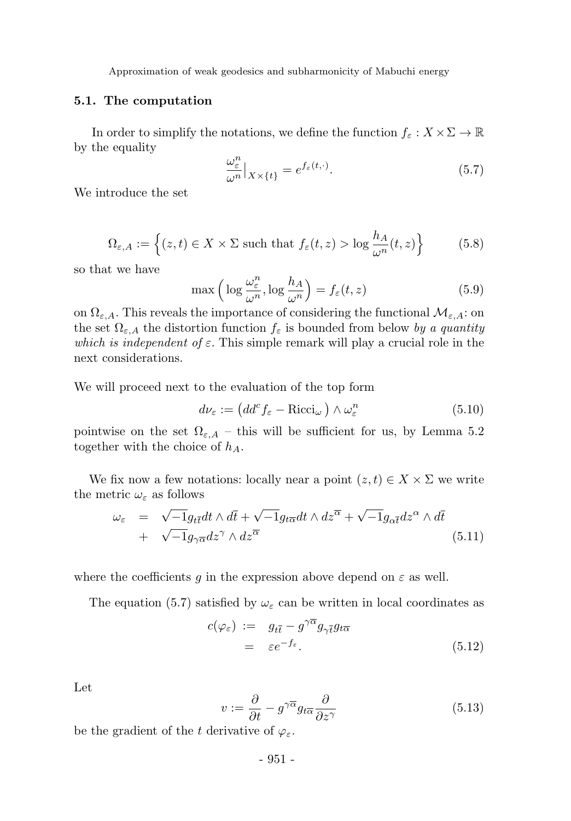#### 5.1. The computation

In order to simplify the notations, we define the function  $f_{\varepsilon}: X \times \Sigma \to \mathbb{R}$ by the equality

$$
\frac{\omega_{\varepsilon}^n}{\omega^n}|_{X \times \{t\}} = e^{f_{\varepsilon}(t, \cdot)}.
$$
\n(5.7)

We introduce the set

$$
\Omega_{\varepsilon,A} := \left\{ (z,t) \in X \times \Sigma \text{ such that } f_{\varepsilon}(t,z) > \log \frac{h_A}{\omega^n}(t,z) \right\}
$$
(5.8)

so that we have

$$
\max\left(\log\frac{\omega_{\varepsilon}^n}{\omega^n},\log\frac{h_A}{\omega^n}\right) = f_{\varepsilon}(t,z)
$$
\n(5.9)

on  $\Omega_{\varepsilon,A}$ . This reveals the importance of considering the functional  $\mathcal{M}_{\varepsilon,A}$ : on the set  $\Omega_{\varepsilon,A}$  the distortion function  $f_{\varepsilon}$  is bounded from below by a quantity which is independent of  $\varepsilon$ . This simple remark will play a crucial role in the next considerations.

We will proceed next to the evaluation of the top form

$$
d\nu_{\varepsilon} := \left( dd^c f_{\varepsilon} - \text{Ricci}_{\omega} \right) \wedge \omega_{\varepsilon}^n \tag{5.10}
$$

pointwise on the set  $\Omega_{\varepsilon,A}$  – this will be sufficient for us, by Lemma 5.2 together with the choice of  $h_A$ .

We fix now a few notations: locally near a point  $(z, t) \in X \times \Sigma$  we write the metric  $\omega_{\varepsilon}$  as follows

$$
\omega_{\varepsilon} = \sqrt{-1}g_{t\overline{t}}dt \wedge d\overline{t} + \sqrt{-1}g_{t\overline{\alpha}}dt \wedge dz^{\overline{\alpha}} + \sqrt{-1}g_{\alpha\overline{t}}dz^{\alpha} \wedge d\overline{t} \n+ \sqrt{-1}g_{\gamma\overline{\alpha}}dz^{\gamma} \wedge dz^{\overline{\alpha}}
$$
\n(5.11)

where the coefficients g in the expression above depend on  $\varepsilon$  as well.

The equation (5.7) satisfied by  $\omega_{\varepsilon}$  can be written in local coordinates as

$$
c(\varphi_{\varepsilon}) := g_{t\bar{t}} - g^{\gamma \bar{\alpha}} g_{\gamma \bar{t}} g_{t\bar{\alpha}}
$$
  
=  $\varepsilon e^{-f_{\varepsilon}}.$  (5.12)

Let

$$
v := \frac{\partial}{\partial t} - g^{\gamma \overline{\alpha}} g_{t \overline{\alpha}} \frac{\partial}{\partial z^{\gamma}}
$$
(5.13)

be the gradient of the t derivative of  $\varphi_{\varepsilon}$ .

- 951 -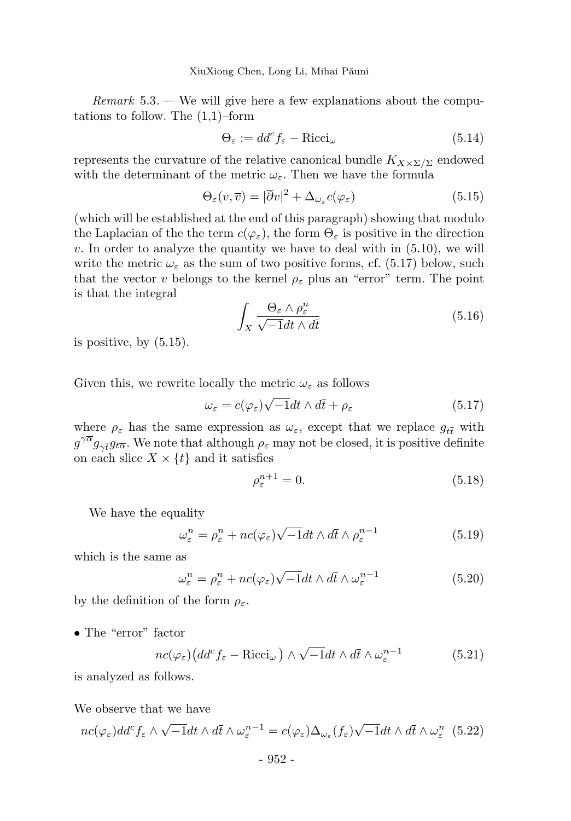$Remark 5.3.$  We will give here a few explanations about the computations to follow. The  $(1,1)$ –form

$$
\Theta_{\varepsilon} := dd^c f_{\varepsilon} - \text{Ricci}_{\omega} \tag{5.14}
$$

represents the curvature of the relative canonical bundle  $K_{X\times\Sigma/\Sigma}$  endowed with the determinant of the metric  $\omega_{\varepsilon}$ . Then we have the formula

$$
\Theta_{\varepsilon}(v,\overline{v}) = |\overline{\partial}v|^2 + \Delta_{\omega_{\varepsilon}}c(\varphi_{\varepsilon})
$$
\n(5.15)

(which will be established at the end of this paragraph) showing that modulo the Laplacian of the the term  $c(\varphi_{\varepsilon})$ , the form  $\Theta_{\varepsilon}$  is positive in the direction  $v.$  In order to analyze the quantity we have to deal with in  $(5.10)$ , we will write the metric  $\omega_{\varepsilon}$  as the sum of two positive forms, cf. (5.17) below, such that the vector v belongs to the kernel  $\rho_{\varepsilon}$  plus an "error" term. The point is that the integral

$$
\int_{X} \frac{\Theta_{\varepsilon} \wedge \rho_{\varepsilon}^{n}}{\sqrt{-1}dt \wedge d\bar{t}} \tag{5.16}
$$

is positive, by  $(5.15)$ .

Given this, we rewrite locally the metric  $\omega_{\varepsilon}$  as follows

$$
\omega_{\varepsilon} = c(\varphi_{\varepsilon})\sqrt{-1}dt \wedge d\bar{t} + \rho_{\varepsilon}
$$
\n(5.17)

where  $\rho_{\varepsilon}$  has the same expression as  $\omega_{\varepsilon}$ , except that we replace  $g_{t\bar{t}}$  with  $g^{\gamma\overline{\alpha}}g_{\gamma\overline{t}}g_{t\overline{\alpha}}$ . We note that although  $\rho_{\varepsilon}$  may not be closed, it is positive definite on each slice  $X \times \{t\}$  and it satisfies

$$
\rho_{\varepsilon}^{n+1} = 0. \tag{5.18}
$$

We have the equality

$$
\omega_{\varepsilon}^{n} = \rho_{\varepsilon}^{n} + nc(\varphi_{\varepsilon})\sqrt{-1}dt \wedge d\bar{t} \wedge \rho_{\varepsilon}^{n-1}
$$
\n(5.19)

which is the same as

$$
\omega_{\varepsilon}^{n} = \rho_{\varepsilon}^{n} + nc(\varphi_{\varepsilon})\sqrt{-1}dt \wedge d\bar{t} \wedge \omega_{\varepsilon}^{n-1}
$$
\n(5.20)

by the definition of the form  $\rho_{\varepsilon}$ .

• The "error" factor

$$
nc(\varphi_{\varepsilon})\left(dd^{c} f_{\varepsilon}-\text{Ricci}_{\omega}\right) \wedge \sqrt{-1}dt \wedge d\bar{t} \wedge \omega_{\varepsilon}^{n-1}
$$
 (5.21)

is analyzed as follows.

We observe that we have

$$
nc(\varphi_{\varepsilon})dd^{c} f_{\varepsilon} \wedge \sqrt{-1}dt \wedge d\bar{t} \wedge \omega_{\varepsilon}^{n-1} = c(\varphi_{\varepsilon})\Delta_{\omega_{\varepsilon}}(f_{\varepsilon})\sqrt{-1}dt \wedge d\bar{t} \wedge \omega_{\varepsilon}^{n} \quad (5.22)
$$

- 952 -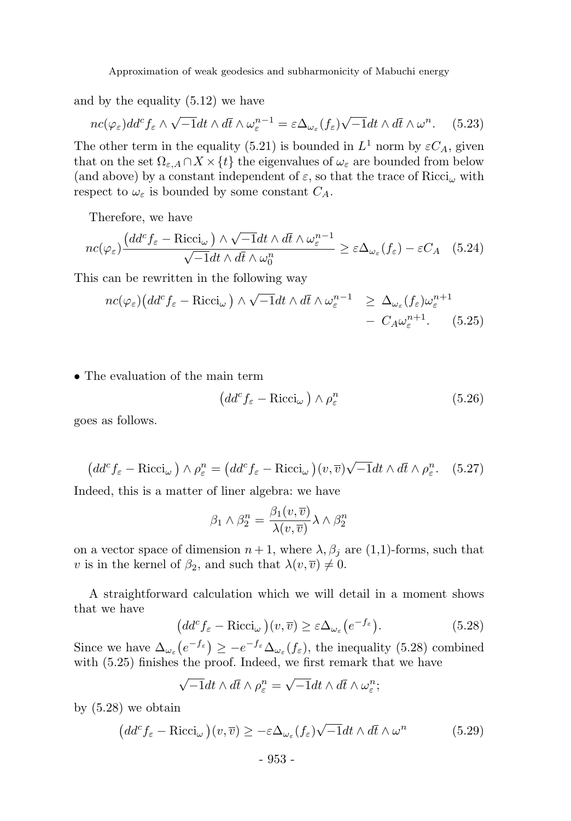and by the equality (5.12) we have

$$
nc(\varphi_{\varepsilon})dd^{c} f_{\varepsilon} \wedge \sqrt{-1}dt \wedge d\bar{t} \wedge \omega_{\varepsilon}^{n-1} = \varepsilon \Delta_{\omega_{\varepsilon}}(f_{\varepsilon}) \sqrt{-1}dt \wedge d\bar{t} \wedge \omega^{n}.
$$
 (5.23)

The other term in the equality (5.21) is bounded in  $L^1$  norm by  $\varepsilon C_A$ , given that on the set  $\Omega_{\varepsilon,A} \cap X \times \{t\}$  the eigenvalues of  $\omega_{\varepsilon}$  are bounded from below (and above) by a constant independent of  $\varepsilon$ , so that the trace of  $Ricci_{\omega}$  with respect to  $\omega_{\varepsilon}$  is bounded by some constant  $C_A$ .

Therefore, we have

$$
nc(\varphi_{\varepsilon})\frac{\left(dd^{c}f_{\varepsilon}-\text{Ricci}_{\omega}\right)\wedge\sqrt{-1}dt\wedge d\bar{t}\wedge\omega_{\varepsilon}^{n-1}}{\sqrt{-1}dt\wedge d\bar{t}\wedge\omega_{0}^{n}} \geq \varepsilon\Delta_{\omega_{\varepsilon}}(f_{\varepsilon})-\varepsilon C_{A} \quad (5.24)
$$

This can be rewritten in the following way

$$
nc(\varphi_{\varepsilon})\left(dd^{c}f_{\varepsilon}-\text{Ricci}_{\omega}\right) \wedge \sqrt{-1}dt \wedge d\bar{t} \wedge \omega_{\varepsilon}^{n-1} \geq \Delta_{\omega_{\varepsilon}}(f_{\varepsilon})\omega_{\varepsilon}^{n+1} - C_{A}\omega_{\varepsilon}^{n+1}.
$$
 (5.25)

• The evaluation of the main term

$$
\left(dd^c f_{\varepsilon} - \text{Ricci}_{\omega}\right) \wedge \rho_{\varepsilon}^n \tag{5.26}
$$

goes as follows.

$$
\left(dd^c f_{\varepsilon} - \text{Ricci}_{\omega}\right) \wedge \rho_{\varepsilon}^n = \left(dd^c f_{\varepsilon} - \text{Ricci}_{\omega}\right)(v, \overline{v})\sqrt{-1}dt \wedge d\overline{t} \wedge \rho_{\varepsilon}^n. \quad (5.27)
$$

Indeed, this is a matter of liner algebra: we have

$$
\beta_1 \wedge \beta_2^n = \frac{\beta_1(v, \overline{v})}{\lambda(v, \overline{v})} \lambda \wedge \beta_2^n
$$

on a vector space of dimension  $n + 1$ , where  $\lambda$ ,  $\beta_j$  are (1,1)-forms, such that v is in the kernel of  $\beta_2$ , and such that  $\lambda(v, \overline{v}) \neq 0$ .

A straightforward calculation which we will detail in a moment shows that we have

$$
\left(dd^c f_{\varepsilon} - \text{Ricci}_{\omega}\right)(v,\overline{v}) \geq \varepsilon \Delta_{\omega_{\varepsilon}}\left(e^{-f_{\varepsilon}}\right). \tag{5.28}
$$

Since we have  $\Delta_{\omega_{\varepsilon}}(e^{-f_{\varepsilon}}) \geq -e^{-f_{\varepsilon}}\Delta_{\omega_{\varepsilon}}(f_{\varepsilon})$ , the inequality (5.28) combined with  $(5.25)$  finishes the proof. Indeed, we first remark that we have

$$
\sqrt{-1}dt \wedge d\overline{t} \wedge \rho_{\varepsilon}^{n} = \sqrt{-1}dt \wedge d\overline{t} \wedge \omega_{\varepsilon}^{n};
$$

by (5.28) we obtain

$$
\left(dd^c f_{\varepsilon} - \text{Ricci}_{\omega}\right)(v,\overline{v}) \ge -\varepsilon \Delta_{\omega_{\varepsilon}}(f_{\varepsilon})\sqrt{-1}dt \wedge d\overline{t} \wedge \omega^n \tag{5.29}
$$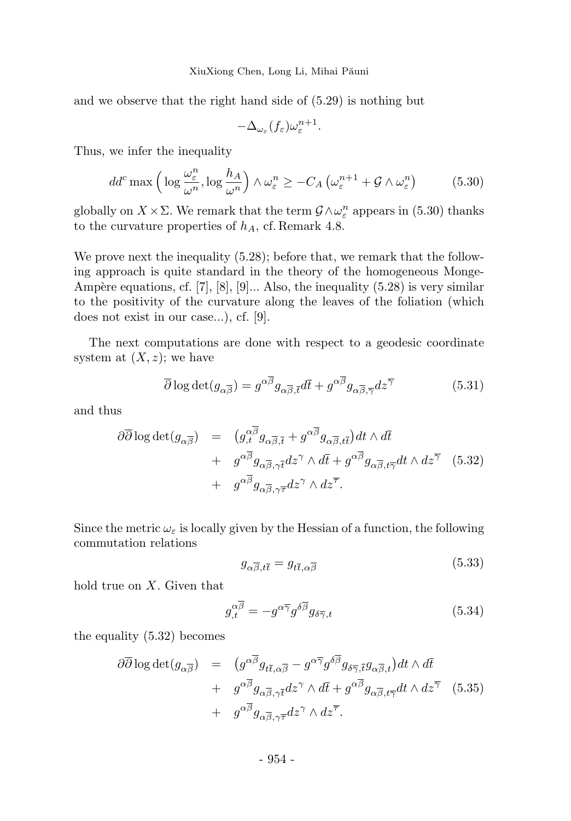and we observe that the right hand side of (5.29) is nothing but

$$
-\Delta_{\omega_{\varepsilon}}(f_{\varepsilon})\omega_{\varepsilon}^{n+1}.
$$

Thus, we infer the inequality

$$
dd^c \max\left(\log \frac{\omega_{\varepsilon}^n}{\omega^n}, \log \frac{h_A}{\omega^n}\right) \wedge \omega_{\varepsilon}^n \ge -C_A \left(\omega_{\varepsilon}^{n+1} + \mathcal{G} \wedge \omega_{\varepsilon}^n\right) \tag{5.30}
$$

globally on  $X \times \Sigma$ . We remark that the term  $\mathcal{G} \wedge \omega_{\varepsilon}^{n}$  appears in (5.30) thanks to the curvature properties of  $h_A$ , cf. Remark 4.8.

We prove next the inequality  $(5.28)$ ; before that, we remark that the following approach is quite standard in the theory of the homogeneous Monge-Ampère equations, cf. [7],  $[8]$ ,  $[9]$ ... Also, the inequality  $(5.28)$  is very similar to the positivity of the curvature along the leaves of the foliation (which does not exist in our case...), cf. [9].

The next computations are done with respect to a geodesic coordinate system at  $(X, z)$ ; we have

$$
\overline{\partial} \log \det(g_{\alpha \overline{\beta}}) = g^{\alpha \overline{\beta}} g_{\alpha \overline{\beta}, \overline{t}} d\overline{t} + g^{\alpha \overline{\beta}} g_{\alpha \overline{\beta}, \overline{\gamma}} dz^{\overline{\gamma}}
$$
(5.31)

and thus

$$
\partial \overline{\partial} \log \det(g_{\alpha \overline{\beta}}) = (g_{,t}^{\alpha \overline{\beta}} g_{\alpha \overline{\beta}, \overline{t}} + g^{\alpha \overline{\beta}} g_{\alpha \overline{\beta}, t\overline{t}}) dt \wedge d\overline{t} + g^{\alpha \overline{\beta}} g_{\alpha \overline{\beta}, \gamma \overline{t}} dz^{\gamma} \wedge d\overline{t} + g^{\alpha \overline{\beta}} g_{\alpha \overline{\beta}, t\overline{\gamma}} dt \wedge dz^{\overline{\gamma}} (5.32) + g^{\alpha \overline{\beta}} g_{\alpha \overline{\beta}, \gamma \overline{\tau}} dz^{\gamma} \wedge dz^{\overline{\tau}}.
$$

Since the metric  $\omega_{\varepsilon}$  is locally given by the Hessian of a function, the following commutation relations

$$
g_{\alpha\overline{\beta},t\overline{t}} = g_{t\overline{t},\alpha\overline{\beta}} \tag{5.33}
$$

hold true on  $X$ . Given that

$$
g_{,t}^{\alpha\overline{\beta}} = -g^{\alpha\overline{\gamma}}g^{\delta\overline{\beta}}g_{\delta\overline{\gamma},t} \tag{5.34}
$$

the equality (5.32) becomes

$$
\partial \overline{\partial} \log \det(g_{\alpha \overline{\beta}}) = (g^{\alpha \overline{\beta}} g_{t\overline{t}, \alpha \overline{\beta}} - g^{\alpha \overline{\gamma}} g^{\delta \overline{\beta}} g_{\delta \overline{\gamma}, \overline{t}} g_{\alpha \overline{\beta}, t}) dt \wedge d\overline{t}
$$
  
+  $g^{\alpha \overline{\beta}} g_{\alpha \overline{\beta}, \gamma \overline{t}} dz^{\gamma} \wedge d\overline{t} + g^{\alpha \overline{\beta}} g_{\alpha \overline{\beta}, t \overline{\gamma}} dt \wedge dz^{\overline{\gamma}}$  (5.35)  
+  $g^{\alpha \overline{\beta}} g_{\alpha \overline{\beta}, \gamma \overline{\tau}} dz^{\gamma} \wedge dz^{\overline{\tau}}.$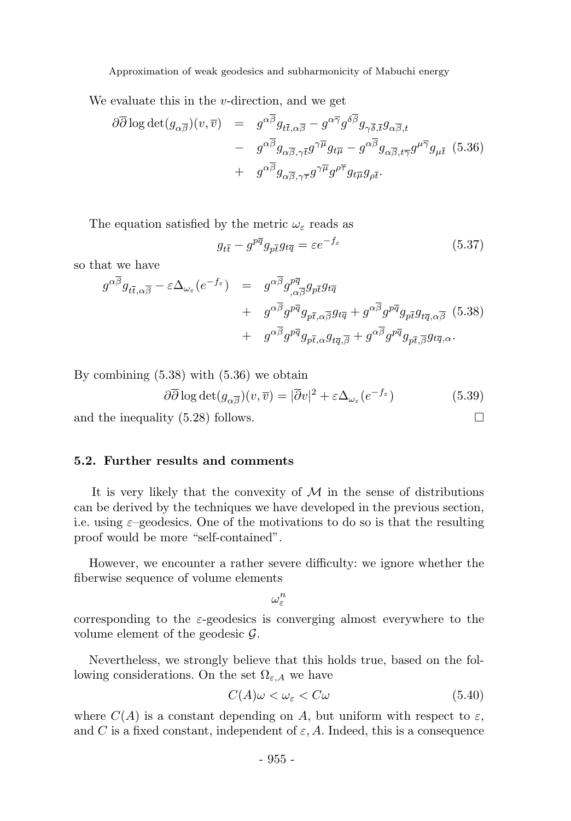We evaluate this in the  $v$ -direction, and we get

$$
\partial \overline{\partial} \log \det(g_{\alpha\overline{\beta}})(v, \overline{v}) = g^{\alpha\overline{\beta}} g_{t\overline{t}, \alpha\overline{\beta}} - g^{\alpha\overline{\gamma}} g^{\delta\overline{\beta}} g_{\gamma\overline{\delta}, \overline{t}} g_{\alpha\overline{\beta}, t} - g^{\alpha\overline{\beta}} g_{\alpha\overline{\beta}, \gamma\overline{t}} g^{\gamma\overline{\mu}} g_{t\overline{\mu}} - g^{\alpha\overline{\beta}} g_{\alpha\overline{\beta}, t\overline{\gamma}} g^{\mu\overline{\gamma}} g_{\mu\overline{t}} (5.36) + g^{\alpha\overline{\beta}} g_{\alpha\overline{\beta}, \gamma\overline{\tau}} g^{\gamma\overline{\mu}} g^{\rho\overline{\tau}} g_{t\overline{\mu}} g_{\rho\overline{t}}.
$$

The equation satisfied by the metric  $\omega_{\varepsilon}$  reads as

$$
g_{t\bar{t}} - g^{p\bar{q}}g_{p\bar{t}}g_{t\bar{q}} = \varepsilon e^{-f_{\varepsilon}}
$$
\n(5.37)

so that we have

$$
g^{\alpha\overline{\beta}}g_{t\overline{t},\alpha\overline{\beta}} - \varepsilon\Delta_{\omega_{\varepsilon}}(e^{-f_{\varepsilon}}) = g^{\alpha\overline{\beta}}g_{,\alpha\overline{\beta}}^{p\overline{q}}g_{p\overline{t}}g_{t\overline{q}} + g^{\alpha\overline{\beta}}g^{p\overline{q}}g_{p\overline{t},\alpha\overline{\beta}}g_{t\overline{q}} + g^{\alpha\overline{\beta}}g^{p\overline{q}}g_{p\overline{t}}g_{t\overline{q},\alpha\overline{\beta}} \quad (5.38) + g^{\alpha\overline{\beta}}g^{p\overline{q}}g_{p\overline{t},\alpha}g_{t\overline{q},\overline{\beta}} + g^{\alpha\overline{\beta}}g^{p\overline{q}}g_{p\overline{t},\overline{\beta}}g_{t\overline{q},\alpha}.
$$

By combining (5.38) with (5.36) we obtain

$$
\partial \overline{\partial} \log \det(g_{\alpha \overline{\beta}})(v, \overline{v}) = |\overline{\partial} v|^2 + \varepsilon \Delta_{\omega_{\varepsilon}}(e^{-f_{\varepsilon}})
$$
(5.39)

and the inequality  $(5.28)$  follows.

#### 5.2. Further results and comments

It is very likely that the convexity of  $M$  in the sense of distributions can be derived by the techniques we have developed in the previous section, i.e. using  $\varepsilon$ –geodesics. One of the motivations to do so is that the resulting proof would be more "self-contained".

However, we encounter a rather severe difficulty: we ignore whether the fiberwise sequence of volume elements

 $\omega_{\varepsilon}^n$ 

corresponding to the  $\varepsilon$ -geodesics is converging almost everywhere to the volume element of the geodesic  $\mathcal{G}$ .

Nevertheless, we strongly believe that this holds true, based on the following considerations. On the set  $\Omega_{\varepsilon,A}$  we have

$$
C(A)\omega < \omega_{\varepsilon} < C\omega \tag{5.40}
$$

where  $C(A)$  is a constant depending on A, but uniform with respect to  $\varepsilon$ , and C is a fixed constant, independent of  $\varepsilon$ , A. Indeed, this is a consequence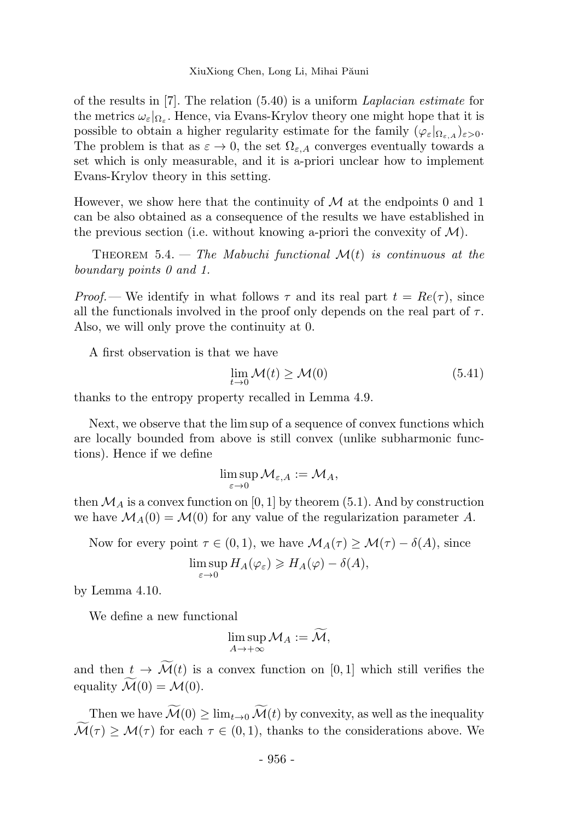of the results in [7]. The relation  $(5.40)$  is a uniform Laplacian estimate for the metrics  $\omega_{\varepsilon}|_{\Omega_{\varepsilon}}$ . Hence, via Evans-Krylov theory one might hope that it is possible to obtain a higher regularity estimate for the family  $(\varphi_{\varepsilon})_{\Omega_{\varepsilon,A}})_{\varepsilon>0}$ . The problem is that as  $\varepsilon \to 0$ , the set  $\Omega_{\varepsilon, A}$  converges eventually towards a set which is only measurable, and it is a-priori unclear how to implement Evans-Krylov theory in this setting.

However, we show here that the continuity of  $\mathcal M$  at the endpoints 0 and 1 can be also obtained as a consequence of the results we have established in the previous section (i.e. without knowing a-priori the convexity of  $\mathcal{M}$ ).

THEOREM 5.4. — The Mabuchi functional  $\mathcal{M}(t)$  is continuous at the boundary points 0 and 1.

Proof.— We identify in what follows  $\tau$  and its real part  $t = Re(\tau)$ , since all the functionals involved in the proof only depends on the real part of  $\tau$ . Also, we will only prove the continuity at 0.

A first observation is that we have

$$
\lim_{t \to 0} \mathcal{M}(t) \ge \mathcal{M}(0) \tag{5.41}
$$

thanks to the entropy property recalled in Lemma 4.9.

Next, we observe that the lim sup of a sequence of convex functions which are locally bounded from above is still convex (unlike subharmonic functions). Hence if we define

$$
\limsup_{\varepsilon \to 0} \mathcal{M}_{\varepsilon, A} := \mathcal{M}_A,
$$

then  $\mathcal{M}_A$  is a convex function on [0, 1] by theorem (5.1). And by construction we have  $\mathcal{M}_A(0) = \mathcal{M}(0)$  for any value of the regularization parameter A.

Now for every point  $\tau \in (0,1)$ , we have  $\mathcal{M}_A(\tau) \geq \mathcal{M}(\tau) - \delta(A)$ , since

$$
\limsup_{\varepsilon \to 0} H_A(\varphi_\varepsilon) \geqslant H_A(\varphi) - \delta(A),
$$

by Lemma 4.10.

We define a new functional

$$
\limsup_{A\to+\infty} \mathcal{M}_A := \widetilde{\mathcal{M}},
$$

and then  $t \to \widetilde{\mathcal{M}}(t)$  is a convex function on [0, 1] which still verifies the equality  $\widetilde{\mathcal{M}}(0) = \mathcal{M}(0)$ .

Then we have  $\widetilde{\mathcal{M}}(0) \geq \lim_{t\to 0} \widetilde{\mathcal{M}}(t)$  by convexity, as well as the inequality  $\widetilde{\mathcal{M}}(\tau) \geq \mathcal{M}(\tau)$  for each  $\tau \in (0,1)$ , thanks to the considerations above. We